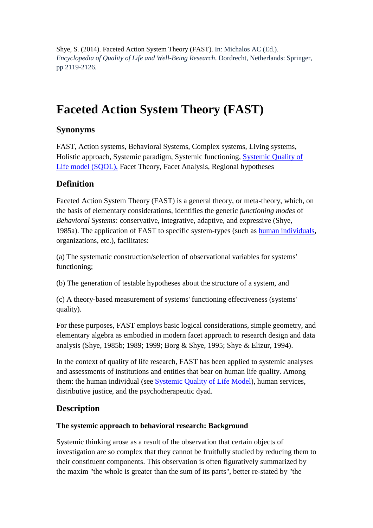Shye, S. (2014). Faceted Action System Theory (FAST). In: Michalos AC (Ed.). *Encyclopedia of Quality of Life and Well-Being Research*. Dordrecht, Netherlands: Springer, pp 2119-2126.

# **Faceted Action System Theory (FAST)**

## **Synonyms**

FAST, Action systems, Behavioral Systems, Complex systems, Living systems, Holistic approach, Systemic paradigm, Systemic functioning, [Systemic Quality of](file:///D:/CEE/QOL%20Encyclopedia/Systemic%20Quality%20of%20Life%20model%20(SQOL)%20in%20EQOLR)  [Life model \(SQOL\),](file:///D:/CEE/QOL%20Encyclopedia/Systemic%20Quality%20of%20Life%20model%20(SQOL)%20in%20EQOLR) Facet Theory, Facet Analysis, Regional hypotheses

# **Definition**

Faceted Action System Theory (FAST) is a general theory, or meta-theory, which, on the basis of elementary considerations, identifies the generic *functioning modes* of *Behavioral Systems:* conservative, integrative, adaptive, and expressive (Shye, 1985a). The application of FAST to specific system-types (such as [human individuals,](file:///C:/Documents%20and%20Settings/xp/Application%20Data/Microsoft/Word/EQOLR-systemic%20quality%20of%20life%20model) organizations, etc.), facilitates:

(a) The systematic construction/selection of observational variables for systems' functioning;

(b) The generation of testable hypotheses about the structure of a system, and

(c) A theory-based measurement of systems' functioning effectiveness (systems' quality).

For these purposes, FAST employs basic logical considerations, simple geometry, and elementary algebra as embodied in modern facet approach to research design and data analysis (Shye, 1985b; 1989; 1999; Borg & Shye, 1995; Shye & Elizur, 1994).

In the context of quality of life research, FAST has been applied to systemic analyses and assessments of institutions and entities that bear on human life quality. Among them: the human individual (see [Systemic Quality of Life Model\)](file:///C:/Documents%20and%20Settings/xp/Application%20Data/Microsoft/Word/EQOLR-systemic%20quality%20of%20life%20model), human services, distributive justice, and the psychotherapeutic dyad.

# **Description**

## **The systemic approach to behavioral research: Background**

Systemic thinking arose as a result of the observation that certain objects of investigation are so complex that they cannot be fruitfully studied by reducing them to their constituent components. This observation is often figuratively summarized by the maxim "the whole is greater than the sum of its parts", better re-stated by "the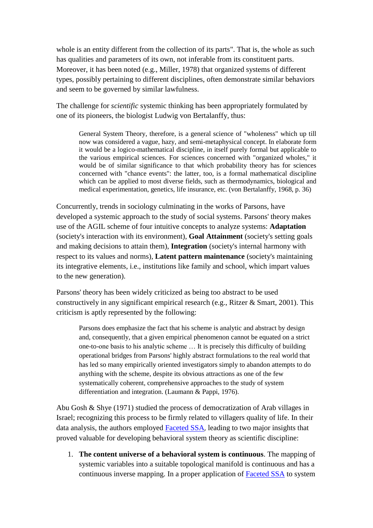whole is an entity different from the collection of its parts". That is, the whole as such has qualities and parameters of its own, not inferable from its constituent parts. Moreover, it has been noted (e.g., Miller, 1978) that organized systems of different types, possibly pertaining to different disciplines, often demonstrate similar behaviors and seem to be governed by similar lawfulness.

The challenge for *scientific* systemic thinking has been appropriately formulated by one of its pioneers, the biologist Ludwig von Bertalanffy, thus:

General System Theory, therefore, is a general science of "wholeness" which up till now was considered a vague, hazy, and semi-metaphysical concept. In elaborate form it would be a logico-mathematical discipline, in itself purely formal but applicable to the various empirical sciences. For sciences concerned with "organized wholes," it would be of similar significance to that which probability theory has for sciences concerned with "chance events": the latter, too, is a formal mathematical discipline which can be applied to most diverse fields, such as thermodynamics, biological and medical experimentation, genetics, life insurance, etc. (von Bertalanffy, 1968, p. 36)

Concurrently, trends in sociology culminating in the works of Parsons, have developed a systemic approach to the study of social systems. Parsons' theory makes use of the AGIL scheme of four intuitive concepts to analyze systems: **Adaptation** (society's interaction with its environment), **Goal Attainment** (society's setting goals and making decisions to attain them), **Integration** (society's internal harmony with respect to its values and norms), **Latent pattern maintenance** (society's maintaining its integrative elements, i.e., institutions like family and school, which impart values to the new generation).

Parsons' theory has been widely criticized as being too abstract to be used constructively in any significant empirical research (e.g., Ritzer & Smart, 2001). This criticism is aptly represented by the following:

Parsons does emphasize the fact that his scheme is analytic and abstract by design and, consequently, that a given empirical phenomenon cannot be equated on a strict one-to-one basis to his analytic scheme … It is precisely this difficulty of building operational bridges from Parsons' highly abstract formulations to the real world that has led so many empirically oriented investigators simply to abandon attempts to do anything with the scheme, despite its obvious attractions as one of the few systematically coherent, comprehensive approaches to the study of system differentiation and integration. (Laumann & Pappi, 1976).

Abu Gosh & Shye (1971) studied the process of democratization of Arab villages in Israel; recognizing this process to be firmly related to villagers quality of life. In their data analysis, the authors employed [Faceted SSA](file:///C:/Documents%20and%20Settings/xp/Application%20Data/Microsoft/Word/EQOLR-Faceted%20SSA), leading to two major insights that proved valuable for developing behavioral system theory as scientific discipline:

1. **The content universe of a behavioral system is continuous**. The mapping of systemic variables into a suitable topological manifold is continuous and has a continuous inverse mapping. In a proper application of [Faceted SSA](file:///C:/Documents%20and%20Settings/xp/Application%20Data/Microsoft/Word/EQOLR-Faceted%20SSA) to system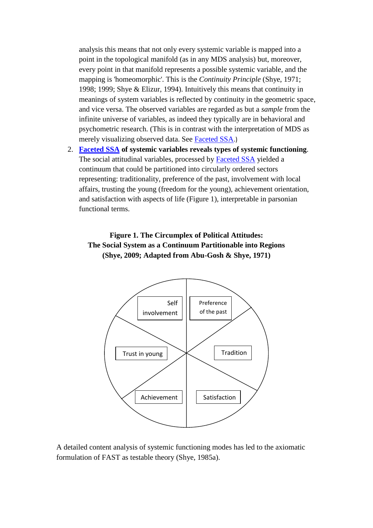analysis this means that not only every systemic variable is mapped into a point in the topological manifold (as in any MDS analysis) but, moreover, every point in that manifold represents a possible systemic variable, and the mapping is 'homeomorphic'. This is the *Continuity Principle* (Shye, 1971; 1998; 1999; Shye & Elizur, 1994). Intuitively this means that continuity in meanings of system variables is reflected by continuity in the geometric space, and vice versa. The observed variables are regarded as but a *sample* from the infinite universe of variables, as indeed they typically are in behavioral and psychometric research. (This is in contrast with the interpretation of MDS as merely visualizing observed data. See [Faceted SSA](file:///C:/Documents%20and%20Settings/xp/Application%20Data/Microsoft/Word/EQOLR-Faceted%20SSA).)

2. **[Faceted SSA](file:///C:/Users/samuels/Desktop/old%20cmp/QOL%20ENCYC/EQOLR-Faceted%20SSA) of systemic variables reveals types of systemic functioning**. The social attitudinal variables, processed by **[Faceted SSA](file:///C:/Users/samuels/Desktop/old%20cmp/QOL%20ENCYC/EQOLR-Faceted%20SSA)** yielded a continuum that could be partitioned into circularly ordered sectors representing: traditionality, preference of the past, involvement with local affairs, trusting the young (freedom for the young), achievement orientation, and satisfaction with aspects of life (Figure 1), interpretable in parsonian functional terms.

## **Figure 1. The Circumplex of Political Attitudes: The Social System as a Continuum Partitionable into Regions (Shye, 2009; Adapted from Abu-Gosh & Shye, 1971)**



A detailed content analysis of systemic functioning modes has led to the axiomatic formulation of FAST as testable theory (Shye, 1985a).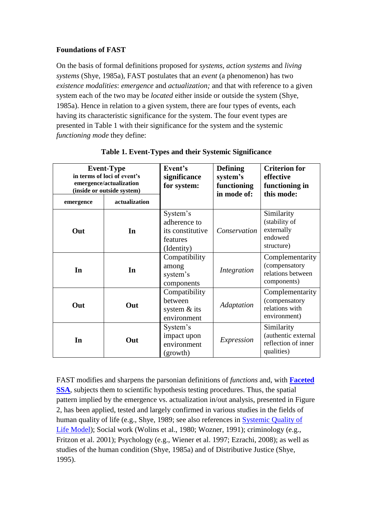#### **Foundations of FAST**

On the basis of formal definitions proposed for *systems, action systems* and *living systems* (Shye, 1985a), FAST postulates that an *event* (a phenomenon) has two *existence modalities*: *emergence* and *actualization;* and that with reference to a given system each of the two may be *located* either inside or outside the system (Shye, 1985a). Hence in relation to a given system, there are four types of events, each having its characteristic significance for the system. The four event types are presented in Table 1 with their significance for the system and the systemic *functioning mode* they define:

| <b>Event-Type</b><br>in terms of loci of event's<br>emergence/actualization<br>(inside or outside system) |               | Event's<br>significance<br>for system:                                 | <b>Defining</b><br>system's<br>functioning<br>in mode of: | <b>Criterion for</b><br>effective<br>functioning in<br>this mode:      |
|-----------------------------------------------------------------------------------------------------------|---------------|------------------------------------------------------------------------|-----------------------------------------------------------|------------------------------------------------------------------------|
| emergence                                                                                                 | actualization |                                                                        |                                                           |                                                                        |
| Out                                                                                                       | In            | System's<br>adherence to<br>its constitutive<br>features<br>(Identity) | Conservation                                              | Similarity<br>(stability of<br>externally<br>endowed<br>structure)     |
| In                                                                                                        | In            | Compatibility<br>among<br>system's<br>components                       | Integration                                               | Complementarity<br>(compensatory<br>relations between<br>components)   |
| Out                                                                                                       | Out           | Compatibility<br>between<br>system $&$ its<br>environment              | Adaptation                                                | Complementarity<br>(compensatory<br>relations with<br>environment)     |
| In                                                                                                        | Out           | System's<br>impact upon<br>environment<br>(growth)                     | Expression                                                | Similarity<br>(authentic external<br>reflection of inner<br>qualities) |

|  | Table 1. Event-Types and their Systemic Significance |
|--|------------------------------------------------------|
|--|------------------------------------------------------|

FAST modifies and sharpens the parsonian definitions of *functions* and, with **[Faceted](file:///C:/Users/samuels/Desktop/old%20cmp/QOL%20ENCYC/EQOLR-Faceted%20SSA)  [SSA](file:///C:/Users/samuels/Desktop/old%20cmp/QOL%20ENCYC/EQOLR-Faceted%20SSA)**, subjects them to scientific hypothesis testing procedures. Thus, the spatial pattern implied by the emergence vs. actualization in/out analysis, presented in Figure 2, has been applied, tested and largely confirmed in various studies in the fields of human quality of life (e.g., Shye, 1989; see also references in [Systemic Quality of](file:///D:/CEE/QOL%20Encyclopedia/EQOLR-systemic%20quality%20of%20life%20model)  [Life Model\)](file:///D:/CEE/QOL%20Encyclopedia/EQOLR-systemic%20quality%20of%20life%20model); Social work (Wolins et al., 1980; Wozner, 1991); criminology (e.g., Fritzon et al. 2001); Psychology (e.g., Wiener et al. 1997; Ezrachi, 2008); as well as studies of the human condition (Shye, 1985a) and of Distributive Justice (Shye, 1995).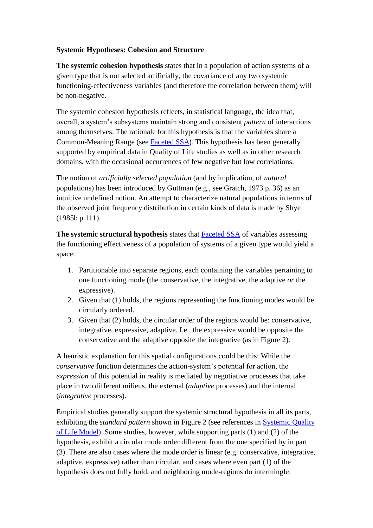#### **Systemic Hypotheses: Cohesion and Structure**

**The systemic cohesion hypothesis** states that in a population of action systems of a given type that is not selected artificially, the covariance of any two systemic functioning-effectiveness variables (and therefore the correlation between them) will be non-negative.

The systemic cohesion hypothesis reflects, in statistical language, the idea that, overall, a system's subsystems maintain strong and consistent *pattern* of interactions among themselves. The rationale for this hypothesis is that the variables share a Common-Meaning Range (see [Faceted SSA](file:///C:/Users/samuels/Desktop/old%20cmp/QOL%20ENCYC/EQOLR-Faceted%20SSA)). This hypothesis has been generally supported by empirical data in Quality of Life studies as well as in other research domains, with the occasional occurrences of few negative but low correlations.

The notion of *artificially selected population* (and by implication, of *natural*  populations) has been introduced by Guttman (e.g., see Gratch, 1973 p. 36) as an intuitive undefined notion. An attempt to characterize natural populations in terms of the observed joint frequency distribution in certain kinds of data is made by Shye (1985b p.111).

**The systemic structural hypothesis** states that [Faceted SSA](file:///C:/Users/samuels/Desktop/old%20cmp/QOL%20ENCYC/EQOLR-Faceted%20SSA) of variables assessing the functioning effectiveness of a population of systems of a given type would yield a space:

- 1. Partitionable into separate regions, each containing the variables pertaining to one functioning mode (the conservative, the integrative, the adaptive *or* the expressive).
- 2. Given that (1) holds, the regions representing the functioning modes would be circularly ordered.
- 3. Given that (2) holds, the circular order of the regions would be: conservative, integrative, expressive, adaptive. I.e., the expressive would be opposite the conservative and the adaptive opposite the integrative (as in Figure 2).

A heuristic explanation for this spatial configurations could be this: While the *conservative* function determines the action-system's potential for action, the *expression* of this potential in reality is mediated by negotiative processes that take place in two different milieus, the external (*adaptive* processes) and the internal (*integrative* processes).

Empirical studies generally support the systemic structural hypothesis in all its parts, exhibiting the *standard pattern* shown in Figure 2 (see references in [Systemic Quality](file:///D:/CEE/QOL%20Encyclopedia/EQOLR-systemic%20quality%20of%20life%20model)  [of Life Model\)](file:///D:/CEE/QOL%20Encyclopedia/EQOLR-systemic%20quality%20of%20life%20model). Some studies, however, while supporting parts (1) and (2) of the hypothesis, exhibit a circular mode order different from the one specified by in part (3). There are also cases where the mode order is linear (e.g. conservative, integrative, adaptive, expressive) rather than circular, and cases where even part (1) of the hypothesis does not fully hold, and neighboring mode-regions do intermingle.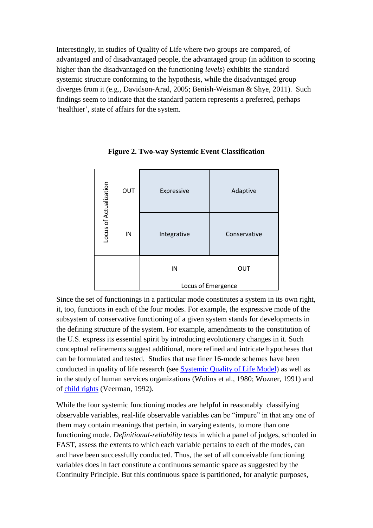Interestingly, in studies of Quality of Life where two groups are compared, of advantaged and of disadvantaged people, the advantaged group (in addition to scoring higher than the disadvantaged on the functioning *levels*) exhibits the standard systemic structure conforming to the hypothesis, while the disadvantaged group diverges from it (e.g., Davidson-Arad, 2005; Benish-Weisman & Shye, 2011). Such findings seem to indicate that the standard pattern represents a preferred, perhaps 'healthier', state of affairs for the system.

| Locus of Actualization | OUT | Expressive  | Adaptive     |  |
|------------------------|-----|-------------|--------------|--|
| IN                     |     | Integrative | Conservative |  |
|                        |     | IN          | OUT          |  |
| Locus of Emergence     |     |             |              |  |

**Figure 2. Two-way Systemic Event Classification**

Since the set of functionings in a particular mode constitutes a system in its own right, it, too, functions in each of the four modes. For example, the expressive mode of the subsystem of conservative functioning of a given system stands for developments in the defining structure of the system. For example, amendments to the constitution of the U.S. express its essential spirit by introducing evolutionary changes in it. Such conceptual refinements suggest additional, more refined and intricate hypotheses that can be formulated and tested. Studies that use finer 16-mode schemes have been conducted in quality of life research (see [Systemic Quality of Life Model\)](file:///D:/CEE/QOL%20Encyclopedia/EQOLR-systemic%20quality%20of%20life%20model) as well as in the study of human services organizations (Wolins et al., 1980; Wozner, 1991) and of [child rights](file:///D:/CEE/QOL%20Encyclopedia/child%20rights%20in%20EQOLR) (Veerman, 1992). Continuity Principle. But this continuity Principle. But this continuity principle. But this continuity principle. But this continuity principle. But this continuity principle. But this continuity principle. But this conti

While the four systemic functioning modes are helpful in reasonably classifying observable variables, real-life observable variables can be "impure" in that any one of them may contain meanings that pertain, in varying extents, to more than one functioning mode. *Definitional-reliability* tests in which a panel of judges, schooled in FAST, assess the extents to which each variable pertains to each of the modes, can and have been successfully conducted. Thus, the set of all conceivable functioning variables does in fact constitute a continuous semantic space as suggested by the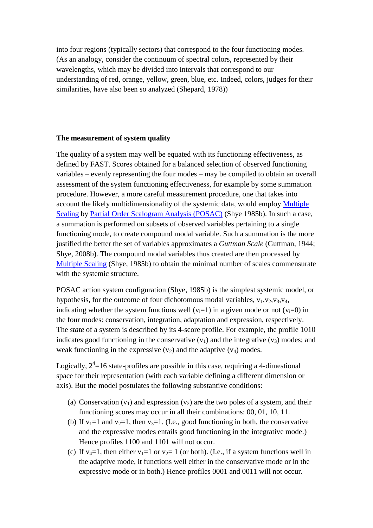into four regions (typically sectors) that correspond to the four functioning modes. (As an analogy, consider the continuum of spectral colors, represented by their wavelengths, which may be divided into intervals that correspond to our understanding of red, orange, yellow, green, blue, etc. Indeed, colors, judges for their similarities, have also been so analyzed (Shepard, 1978))

#### **The measurement of system quality**

The quality of a system may well be equated with its functioning effectiveness, as defined by FAST. Scores obtained for a balanced selection of observed functioning variables – evenly representing the four modes – may be compiled to obtain an overall assessment of the system functioning effectiveness, for example by some summation procedure. However, a more careful measurement procedure, one that takes into account the likely multidimensionality of the systemic data, would employ [Multiple](file:///C:/Documents%20and%20Settings/xp/Application%20Data/Microsoft/Word/multiple%20scaling-%20EQOLR)  [Scaling](file:///C:/Documents%20and%20Settings/xp/Application%20Data/Microsoft/Word/multiple%20scaling-%20EQOLR) by [Partial Order Scalogram Analysis \(POSAC\)](file:///C:/Documents%20and%20Settings/xp/Application%20Data/Microsoft/Word/partial%20order%20scalogram%20analysis%20(POSAC)-EQOLR) (Shye 1985b). In such a case, a summation is performed on subsets of observed variables pertaining to a single functioning mode, to create compound modal variable. Such a summation is the more justified the better the set of variables approximates a *Guttman Scale* (Guttman, 1944; Shye, 2008b). The compound modal variables thus created are then processed by [Multiple Scaling](file:///D:/CEE/QOL%20Encyclopedia/multiple%20scaling-%20EQOLR) (Shye, 1985b) to obtain the minimal number of scales commensurate with the systemic structure.

POSAC action system configuration (Shye, 1985b) is the simplest systemic model, or hypothesis, for the outcome of four dichotomous modal variables,  $v_1, v_2, v_3, v_4$ , indicating whether the system functions well  $(v_i=1)$  in a given mode or not  $(v_i=0)$  in the four modes: conservation, integration, adaptation and expression, respectively. The *state* of a system is described by its 4-score profile. For example, the profile 1010 indicates good functioning in the conservative  $(v_1)$  and the integrative  $(v_3)$  modes; and weak functioning in the expressive  $(v_2)$  and the adaptive  $(v_4)$  modes.

Logically,  $2^4$ =16 state-profiles are possible in this case, requiring a 4-dimestional space for their representation (with each variable defining a different dimension or axis). But the model postulates the following substantive conditions:

- (a) Conservation  $(v_1)$  and expression  $(v_2)$  are the two poles of a system, and their functioning scores may occur in all their combinations: 00, 01, 10, 11.
- (b) If  $v_1=1$  and  $v_2=1$ , then  $v_3=1$ . (I.e., good functioning in both, the conservative and the expressive modes entails good functioning in the integrative mode.) Hence profiles 1100 and 1101 will not occur.
- (c) If  $v_4=1$ , then either  $v_1=1$  or  $v_2=1$  (or both). (I.e., if a system functions well in the adaptive mode, it functions well either in the conservative mode or in the expressive mode or in both.) Hence profiles 0001 and 0011 will not occur.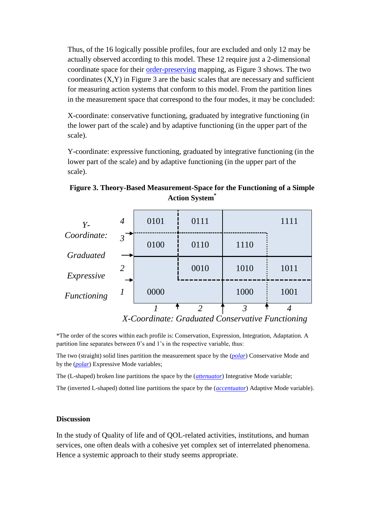Thus, of the 16 logically possible profiles, four are excluded and only 12 may be actually observed according to this model. These 12 require just a 2-dimensional coordinate space for their [order-preserving](file:///C:/Documents%20and%20Settings/xp/Application%20Data/Microsoft/Word/order-preserving%20-%20in%20multiple%20scaling%20essay) mapping, as Figure 3 shows. The two coordinates  $(X, Y)$  in Figure 3 are the basic scales that are necessary and sufficient for measuring action systems that conform to this model. From the partition lines in the measurement space that correspond to the four modes, it may be concluded:

X-coordinate: conservative functioning, graduated by integrative functioning (in the lower part of the scale) and by adaptive functioning (in the upper part of the scale).

Y-coordinate: expressive functioning, graduated by integrative functioning (in the lower part of the scale) and by adaptive functioning (in the upper part of the scale).

| $Y -$                           | 4       | 0101 | 0111 |      | 1111 |
|---------------------------------|---------|------|------|------|------|
| Coordinate:<br><b>Graduated</b> | $3^{-}$ | 0100 | 0110 | 1110 |      |
| Expressive                      | 2       |      | 0010 | 1010 | 1011 |
| Functioning                     |         | 0000 |      | 1000 | 1001 |
|                                 |         |      | ി    | 3    |      |

**Figure 3. Theory-Based Measurement-Space for the Functioning of a Simple Action System\***

 *X-Coordinate: Graduated Conservative Functioning*

\*The order of the scores within each profile is: Conservation, Expression, Integration, Adaptation. A partition line separates between 0's and 1's in the respective variable, thus:

The two (straight) solid lines partition the measurement space by the (*[polar](file:///D:/CEE/QOL%20Encyclopedia/polar-Multiple%20Scaling%20in%20EQOLR)*) Conservative Mode and by the (*[polar](file:///D:/CEE/QOL%20Encyclopedia/polar-Multiple%20Scaling%20in%20EQOLR)*) Expressive Mode variables;

The (L-shaped) broken line partitions the space by the (*[attenuator](file:///D:/CEE/QOL%20Encyclopedia/attenuator-Multiple%20Scaling%20in%20EQOLR)*) Integrative Mode variable;

The (inverted L-shaped) dotted line partitions the space by the (*[accentuator](file:///D:/CEE/QOL%20Encyclopedia/accentuator-%20Multiple%20Scaling%20in%20EQOLR)*) Adaptive Mode variable).

#### **Discussion**

In the study of Quality of life and of QOL-related activities, institutions, and human services, one often deals with a cohesive yet complex set of interrelated phenomena. Hence a systemic approach to their study seems appropriate.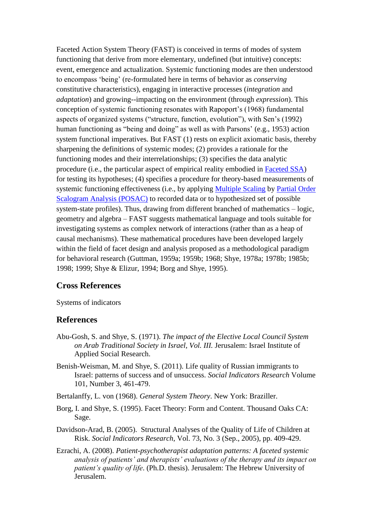Faceted Action System Theory (FAST) is conceived in terms of modes of system functioning that derive from more elementary, undefined (but intuitive) concepts: event, emergence and actualization. Systemic functioning modes are then understood to encompass 'being' (re-formulated here in terms of behavior as *conserving* constitutive characteristics), engaging in interactive processes (*integration* and *adaptation*) and growing--impacting on the environment (through *expression*). This conception of systemic functioning resonates with Rapoport's (1968) fundamental aspects of organized systems ("structure, function, evolution"), with Sen's (1992) human functioning as "being and doing" as well as with Parsons' (e.g., 1953) action system functional imperatives. But FAST (1) rests on explicit axiomatic basis, thereby sharpening the definitions of systemic modes; (2) provides a rationale for the functioning modes and their interrelationships; (3) specifies the data analytic procedure (i.e., the particular aspect of empirical reality embodied in [Faceted SSA\)](file:///C:/Users/samuels/Desktop/old%20cmp/QOL%20ENCYC/EQOLR-Faceted%20SSA) for testing its hypotheses; (4) specifies a procedure for theory-based measurements of systemic functioning effectiveness (i.e., by applying [Multiple Scaling](file:///C:/Documents%20and%20Settings/xp/Application%20Data/Microsoft/Word/multiple%20scaling-%20EQOLR) by [Partial Order](file:///C:/Documents%20and%20Settings/xp/Application%20Data/Microsoft/Word/partial%20order%20scalogram%20analysis%20(POSAC)-EQOLR)  [Scalogram Analysis \(POSAC\)](file:///C:/Documents%20and%20Settings/xp/Application%20Data/Microsoft/Word/partial%20order%20scalogram%20analysis%20(POSAC)-EQOLR) to recorded data or to hypothesized set of possible system-state profiles). Thus, drawing from different branched of mathematics – logic, geometry and algebra – FAST suggests mathematical language and tools suitable for investigating systems as complex network of interactions (rather than as a heap of causal mechanisms). These mathematical procedures have been developed largely within the field of facet design and analysis proposed as a methodological paradigm for behavioral research (Guttman, 1959a; 1959b; 1968; Shye, 1978a; 1978b; 1985b; 1998; 1999; Shye & Elizur, 1994; Borg and Shye, 1995).

### **Cross References**

Systems of indicators

#### **References**

- Abu-Gosh, S. and Shye, S. (1971). *The impact of the Elective Local Council System on Arab Traditional Society in Israel, Vol. III.* Jerusalem: Israel Institute of Applied Social Research.
- Benish-Weisman, M. and Shye, S. (2011). Life quality of Russian immigrants to Israel: patterns of success and of unsuccess. *[Social Indicators Research](http://www.springerlink.com/content/0303-8300/)* [Volume](http://www.springerlink.com/content/0303-8300/101/3/)  [101, Number 3,](http://www.springerlink.com/content/0303-8300/101/3/) 461-479.
- Bertalanffy, L. von (1968). *General System Theory*. New York: Braziller.
- Borg, I. and Shye, S. (1995). Facet Theory: Form and Content. Thousand Oaks CA: Sage.
- Davidson-Arad, B. (2005). Structural Analyses of the Quality of Life of Children at Risk. *Social Indicators Research*, Vol. 73, No. 3 (Sep., 2005), pp. 409-429.
- Ezrachi, A. (2008). *Patient-psychotherapist adaptation patterns: A faceted systemic analysis of patients' and therapists' evaluations of the therapy and its impact on patient's quality of life*. (Ph.D. thesis). Jerusalem: The Hebrew University of Jerusalem.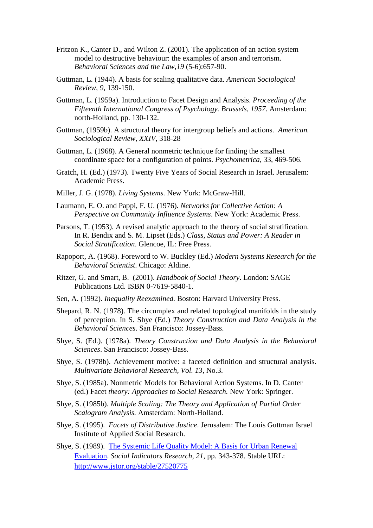- [Fritzon K.](http://www.ncbi.nlm.nih.gov/pubmed?term=%22Fritzon%20K%22%5BAuthor%5D), [Canter D.](http://www.ncbi.nlm.nih.gov/pubmed?term=%22Canter%20D%22%5BAuthor%5D), and [Wilton Z.](http://www.ncbi.nlm.nih.gov/pubmed?term=%22Wilton%20Z%22%5BAuthor%5D) (2001). The application of an action system model to destructive behaviour: the examples of arson and terrorism. *[Behavioral Sciences and the Law,](http://www.ncbi.nlm.nih.gov/pubmed/11787075)19* (5-6):657-90.
- Guttman, L. (1944). A basis for scaling qualitative data. *American Sociological Review, 9*, 139-150.
- Guttman, L. (1959a). Introduction to Facet Design and Analysis. *Proceeding of the Fifteenth International Congress of Psychology. Brussels, 1957*. Amsterdam: north-Holland, pp. 130-132.
- Guttman, (1959b). A structural theory for intergroup beliefs and actions. *American. Sociological Review, XXIV*, 318-28
- Guttman, L. (1968). A General nonmetric technique for finding the smallest coordinate space for a configuration of points. *Psychometrica*, 33, 469-506.
- Gratch, H. (Ed.) (1973). Twenty Five Years of Social Research in Israel. Jerusalem: Academic Press.
- Miller, J. G. (1978). *Living Systems.* New York: McGraw-Hill.
- Laumann, E. O. and Pappi, F. U. (1976). *Networks for Collective Action: A Perspective on Community Influence Systems*. New York: Academic Press.
- Parsons, T. (1953). A revised analytic approach to the theory of social stratification. In R. Bendix and S. M. Lipset (Eds.) *Class, Status and Power: A Reader in Social Stratification*. Glencoe, IL: Free Press.
- Rapoport, A. (1968). Foreword to W. Buckley (Ed.) *Modern Systems Research for the Behavioral Scientist*. Chicago: Aldine.
- Ritzer, G. and Smart, B. (2001). *Handbook of Social Theory*. London: SAGE Publications Ltd. ISBN 0-7619-5840-1.
- Sen, A. (1992). *Inequality Reexamined.* Boston: Harvard University Press.
- Shepard, R. N. (1978). The circumplex and related topological manifolds in the study of perception. In S. Shye (Ed.) *Theory Construction and Data Analysis in the Behavioral Sciences*. San Francisco: Jossey-Bass.
- Shye, S. (Ed.). (1978a). *Theory Construction and Data Analysis in the Behavioral Sciences*. San Francisco: Jossey-Bass.
- Shye, S. (1978b). Achievement motive: a faceted definition and structural analysis. *Multivariate Behavioral Research, Vol. 13*, No.3.
- Shye, S. (1985a). Nonmetric Models for Behavioral Action Systems. In D. Canter (ed.) Facet *theory: Approaches to Social Research.* New York: Springer.
- Shye, S. (1985b). *Multiple Scaling: The Theory and Application of Partial Order Scalogram Analysis.* Amsterdam: North-Holland.
- Shye, S. (1995). *Facets of Distributive Justice*. Jerusalem: The Louis Guttman Israel Institute of Applied Social Research.
- Shye, S. (1989). [The Systemic Life Quality Model: A Basis for Urban Renewal](http://pluto.huji.ac.il/~msshye/sysQOL.pdf)  [Evaluation.](http://pluto.huji.ac.il/~msshye/sysQOL.pdf) *Social Indicators Research, 21*, pp. 343-378. Stable URL: <http://www.jstor.org/stable/27520775>